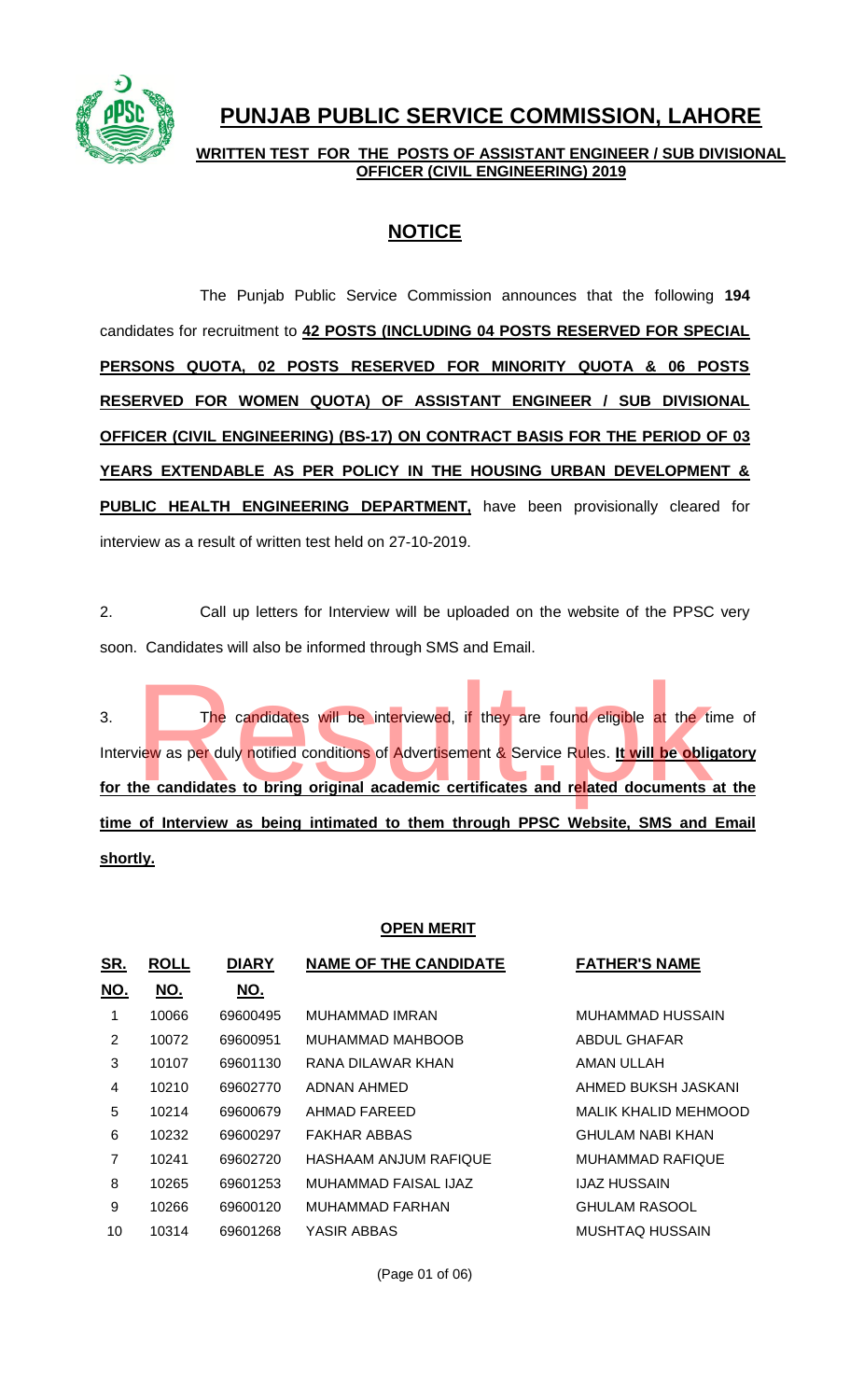

# **PUNJAB PUBLIC SERVICE COMMISSION, LAHORE**

**WRITTEN TEST FOR THE POSTS OF ASSISTANT ENGINEER / SUB DIVISIONAL OFFICER (CIVIL ENGINEERING) 2019**

## **NOTICE**

The Punjab Public Service Commission announces that the following **194** candidates for recruitment to **42 POSTS (INCLUDING 04 POSTS RESERVED FOR SPECIAL PERSONS QUOTA, 02 POSTS RESERVED FOR MINORITY QUOTA & 06 POSTS RESERVED FOR WOMEN QUOTA) OF ASSISTANT ENGINEER / SUB DIVISIONAL OFFICER (CIVIL ENGINEERING) (BS-17) ON CONTRACT BASIS FOR THE PERIOD OF 03 YEARS EXTENDABLE AS PER POLICY IN THE HOUSING URBAN DEVELOPMENT & PUBLIC HEALTH ENGINEERING DEPARTMENT,** have been provisionally cleared for interview as a result of written test held on 27-10-2019.

2. Call up letters for Interview will be uploaded on the website of the PPSC very soon. Candidates will also be informed through SMS and Email.

3. The candidates will be interviewed, if they are found eligible at the time of Interview as per duly notified conditions of Advertisement & Service Rules. **It will be obligatory for the candidates to bring original academic certificates and related documents at the time of Interview as being intimated to them through PPSC Website, SMS and Email shortly.** The candidates will be interviewed, if they are found eligible at the tive was per duly notified conditions of Advertisement & Service Rules. It will be obliged to bring original academic certificates and related documents

### **OPEN MERIT**

| <u>SR.</u>     | <b>ROLL</b> | <b>DIARY</b> | <b>NAME OF THE CANDIDATE</b> | <b>FATHER'S NAME</b>        |
|----------------|-------------|--------------|------------------------------|-----------------------------|
| <u>NO.</u>     | <u>NO.</u>  | <u>NO.</u>   |                              |                             |
| 1              | 10066       | 69600495     | MUHAMMAD IMRAN               | MUHAMMAD HUSSAIN            |
| 2              | 10072       | 69600951     | MUHAMMAD MAHBOOB             | ABDUL GHAFAR                |
| 3              | 10107       | 69601130     | RANA DILAWAR KHAN            | <b>AMAN ULLAH</b>           |
| 4              | 10210       | 69602770     | ADNAN AHMED                  | AHMED BUKSH JASKANI         |
| 5              | 10214       | 69600679     | AHMAD FAREED                 | <b>MALIK KHALID MEHMOOD</b> |
| 6              | 10232       | 69600297     | <b>FAKHAR ABBAS</b>          | GHULAM NABI KHAN            |
| $\overline{7}$ | 10241       | 69602720     | HASHAAM ANJUM RAFIQUE        | MUHAMMAD RAFIQUE            |
| 8              | 10265       | 69601253     | MUHAMMAD FAISAL IJAZ         | IJAZ HUSSAIN                |
| 9              | 10266       | 69600120     | MUHAMMAD FARHAN              | <b>GHULAM RASOOL</b>        |
| 10             | 10314       | 69601268     | YASIR ABBAS                  | MUSHTAQ HUSSAIN             |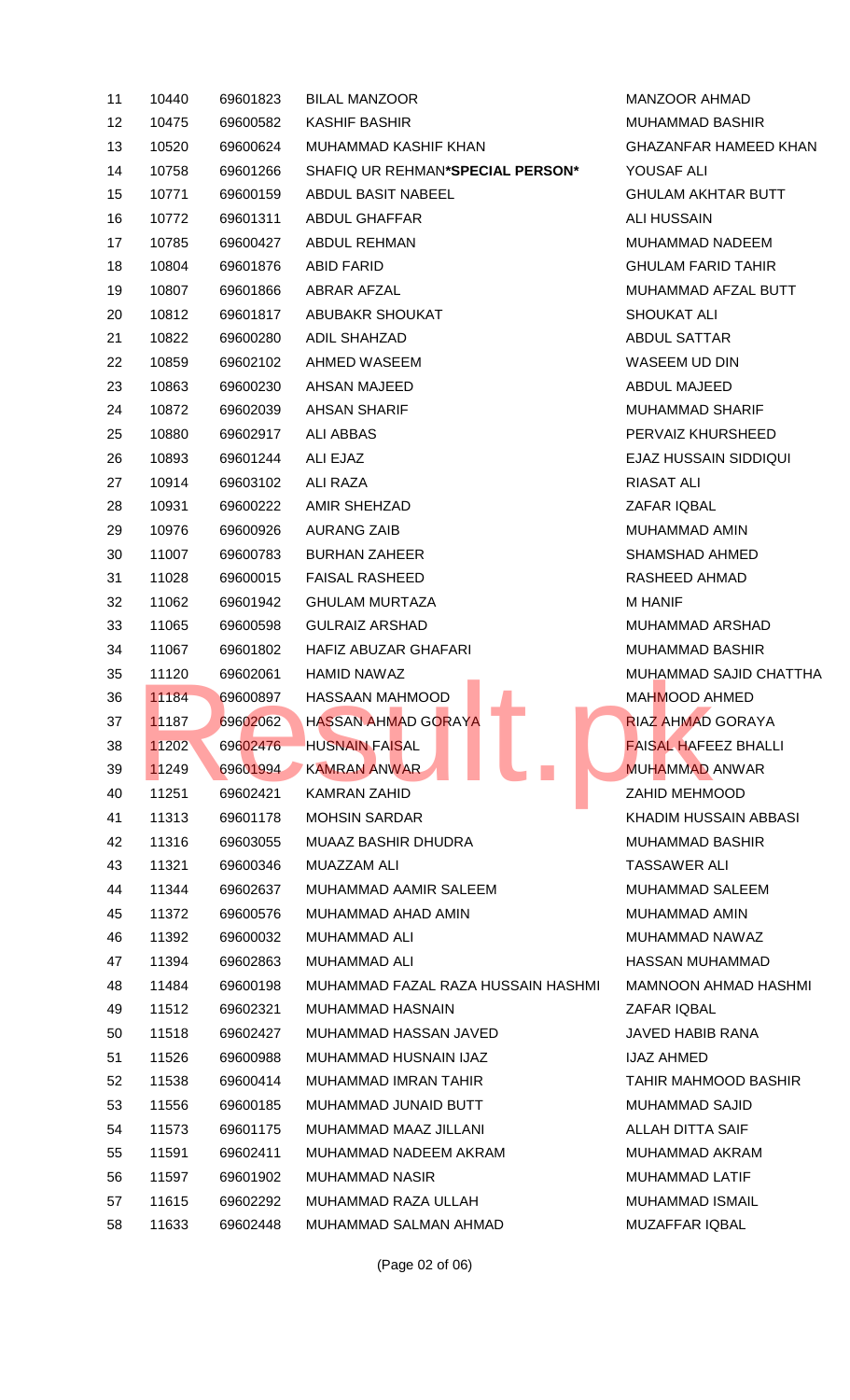| 11 | 10440          | 69601823 | <b>BILAL MANZOOR</b>                          | <b>MANZOOR AI</b>    |  |
|----|----------------|----------|-----------------------------------------------|----------------------|--|
| 12 | 10475          | 69600582 | <b>KASHIF BASHIR</b>                          | MUHAMMAD             |  |
| 13 | 10520          | 69600624 | MUHAMMAD KASHIF KHAN                          | <b>GHAZANFAR</b>     |  |
| 14 | 10758          | 69601266 | SHAFIQ UR REHMAN*SPECIAL PERSON*              | YOUSAF ALI           |  |
| 15 | 10771          | 69600159 | ABDUL BASIT NABEEL                            | <b>GHULAM AKH</b>    |  |
| 16 | 10772          | 69601311 | <b>ABDUL GHAFFAR</b>                          | <b>ALI HUSSAIN</b>   |  |
| 17 | 10785          | 69600427 | <b>ABDUL REHMAN</b>                           | MUHAMMAD             |  |
| 18 | 10804          | 69601876 | ABID FARID                                    | <b>GHULAM FAF</b>    |  |
| 19 | 10807          | 69601866 | ABRAR AFZAL                                   | MUHAMMAD             |  |
| 20 | 10812          | 69601817 | ABUBAKR SHOUKAT                               | <b>SHOUKAT AL</b>    |  |
| 21 | 10822          | 69600280 | <b>ADIL SHAHZAD</b>                           | <b>ABDUL SATT.</b>   |  |
| 22 | 10859          | 69602102 | AHMED WASEEM                                  | WASEEM UD            |  |
| 23 | 10863          | 69600230 | AHSAN MAJEED                                  | <b>ABDUL MAJE</b>    |  |
| 24 | 10872          | 69602039 | <b>AHSAN SHARIF</b>                           | MUHAMMAD             |  |
| 25 | 10880          | 69602917 | <b>ALI ABBAS</b>                              | PERVAIZ KHU          |  |
| 26 | 10893          | 69601244 | ALI EJAZ                                      | <b>EJAZ HUSSA</b>    |  |
| 27 | 10914          | 69603102 | ALI RAZA                                      | RIASAT ALI           |  |
| 28 | 10931          | 69600222 | AMIR SHEHZAD                                  | ZAFAR IQBAL          |  |
| 29 | 10976          | 69600926 | <b>AURANG ZAIB</b>                            | MUHAMMAD             |  |
| 30 | 11007          | 69600783 | <b>BURHAN ZAHEER</b>                          | SHAMSHAD A           |  |
| 31 | 11028          | 69600015 | <b>FAISAL RASHEED</b>                         | RASHEED AH           |  |
| 32 | 11062          | 69601942 | <b>GHULAM MURTAZA</b>                         | <b>M HANIF</b>       |  |
| 33 | 11065          | 69600598 | <b>GULRAIZ ARSHAD</b>                         | MUHAMMAD             |  |
| 34 | 11067          | 69601802 | HAFIZ ABUZAR GHAFARI                          | MUHAMMAD             |  |
| 35 | 11120          | 69602061 | <b>HAMID NAWAZ</b>                            | MUHAMMAD             |  |
| 36 | 11184          | 69600897 | <b>HASSAAN MAHMOOD</b>                        | MAHMOOD A            |  |
| 37 | 11187          | 69602062 | <b>Contract</b><br><b>HASSAN AHMAD GORAYA</b> | <b>RIAZ AHMAD</b>    |  |
| 38 | 11202          | 69602476 | <b>HUSNAIN FAISAL</b>                         | <b>FAISAL HAFE</b>   |  |
| 39 | 11249          | 69601994 | <b>KAMRAN ANWAR</b>                           | <b>MUHAMMAD</b>      |  |
| 40 | 11251          | 69602421 | <b>KAMRAN ZAHID</b>                           | <b>ZAHID MEHM</b>    |  |
| 41 | 11313          | 69601178 | <b>MOHSIN SARDAR</b>                          | <b>KHADIM HUS</b>    |  |
| 42 | 11316          | 69603055 | <b>MUAAZ BASHIR DHUDRA</b>                    | MUHAMMAD             |  |
| 43 | 11321          | 69600346 | MUAZZAM ALI                                   | TASSAWER /           |  |
| 44 | 11344          | 69602637 | MUHAMMAD AAMIR SALEEM                         | <b>MUHAMMAD</b>      |  |
|    |                |          | MUHAMMAD AHAD AMIN                            |                      |  |
| 45 | 11372<br>11392 | 69600576 | <b>MUHAMMAD ALI</b>                           | MUHAMMAD<br>MUHAMMAD |  |
| 46 |                | 69600032 |                                               |                      |  |
| 47 | 11394          | 69602863 | <b>MUHAMMAD ALI</b>                           | <b>HASSAN MUH</b>    |  |
| 48 | 11484          | 69600198 | MUHAMMAD FAZAL RAZA HUSSAIN HASHMI            | <b>MAMNOON A</b>     |  |
| 49 | 11512          | 69602321 | MUHAMMAD HASNAIN                              | ZAFAR IQBAL          |  |
| 50 | 11518          | 69602427 | MUHAMMAD HASSAN JAVED<br><b>JAVED HABIE</b>   |                      |  |
| 51 | 11526          | 69600988 | MUHAMMAD HUSNAIN IJAZ<br>IJAZ AHMED           |                      |  |
| 52 | 11538          | 69600414 | MUHAMMAD IMRAN TAHIR                          | TAHIR MAHM           |  |
| 53 | 11556          | 69600185 | MUHAMMAD JUNAID BUTT                          | MUHAMMAD             |  |
| 54 | 11573          | 69601175 | MUHAMMAD MAAZ JILLANI                         | <b>ALLAH DITTA</b>   |  |
| 55 | 11591          | 69602411 | MUHAMMAD NADEEM AKRAM                         | MUHAMMAD             |  |
| 56 | 11597          | 69601902 | <b>MUHAMMAD NASIR</b>                         | MUHAMMAD             |  |
| 57 | 11615          | 69602292 | MUHAMMAD RAZA ULLAH                           | MUHAMMAD             |  |
| 58 | 11633          | 69602448 | MUHAMMAD SALMAN AHMAD                         | <b>MUZAFFAR IO</b>   |  |

1 JAN 200R AHMAD **MUHAMMAD BASHIR GHAZANFAR HAMEED KHAN YOUSAF ALI GHULAM AKHTAR BUTT** 1LI HUSSAIN **MUHAMMAD NADEEM GHULAM FARID TAHIR** 19 1080 AFZAL BUTT **BHOUKAT ALI ABDUL SATTAR NASEEM UD DIN ABDUL MAJEED MUHAMMAD SHARIF PERVAIZ KHURSHEED EJAZ HUSSAIN SIDDIQUI** 2IASAT ALI ZAFAR IQBAL **AUHAMMAD AMIN** SHAMSHAD AHMED RASHEED AHMAD  $MUHAMMAD ARSHAD$  $\overline{3}$  AUHAMMAD BASHIR **MUHAMMAD SAJID CHATTHA** d <mark>HM</mark>OOD AHMED **RIAZ AHMAD GORAYA** AISAL HAFEEZ BHALLI **49 ANWAR** ZAHID MEHMOOD (HADIM HUSSAIN ABBASI **MUHAMMAD BASHIR FASSAWER ALI MUHAMMAD SALEEM AUHAMMAD AMIN** 14 AMMAD NAWA 1ASSAN MUHAMMAD 15 1149 MAD FAAMMAD FAAD FA ZAFAR IQBAL JAVED HABIB RANA JAZ AHMED **TAHIR MAHMOOD BASHIR** 10 AND SAJID ALLAH DITTA SAIF **MUHAMMAD AKRAM MUHAMMAD LATIF**  $MU$ HAMMAD ISMAIL **MUZAFFAR IQBAL** 

(Page 02 of 06)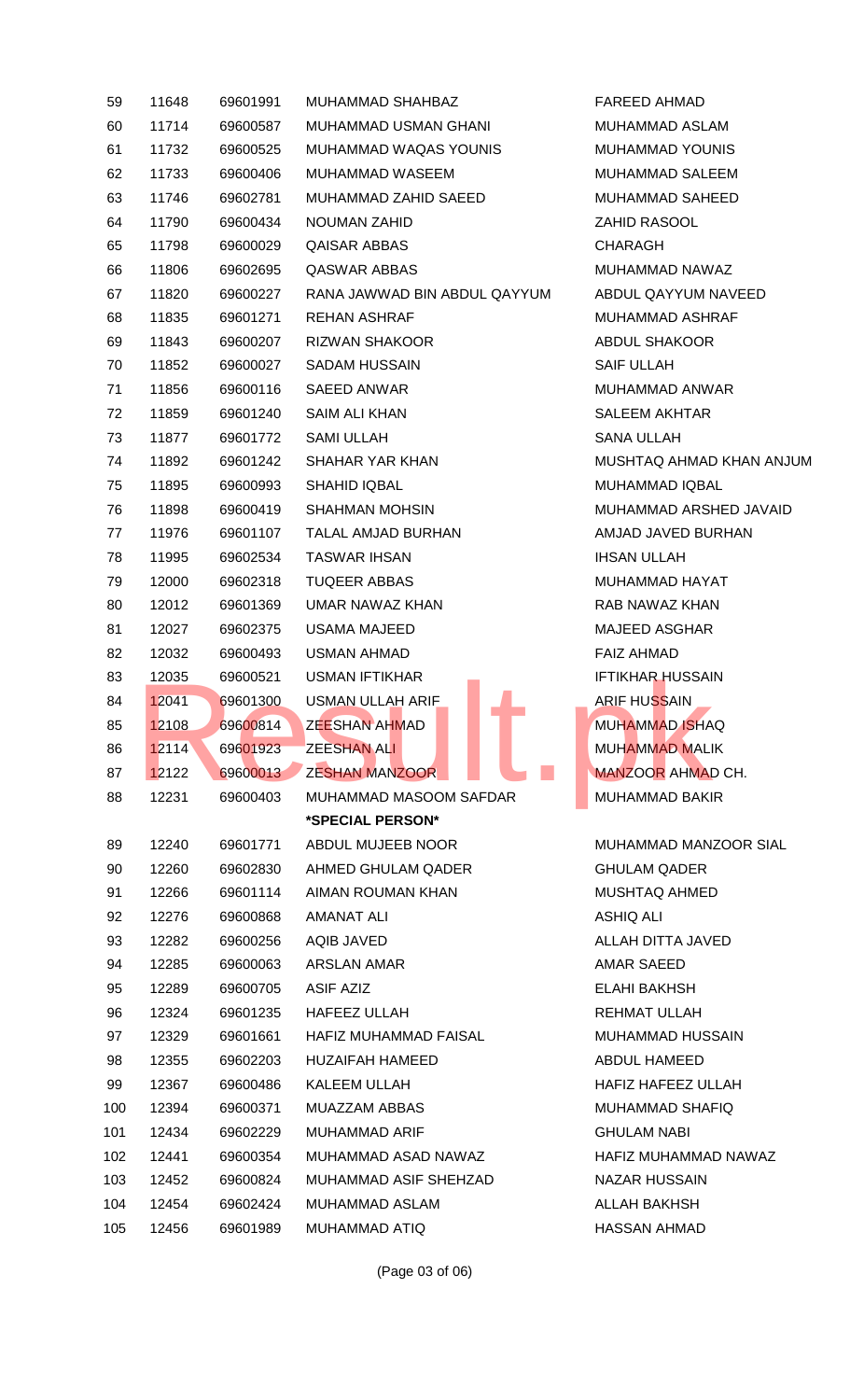| 59  | 11648 | 69601991 | <b>MUHAMMAD SHAHBAZ</b>      | FAREED AHMAD           |
|-----|-------|----------|------------------------------|------------------------|
| 60  | 11714 | 69600587 | MUHAMMAD USMAN GHANI         | <b>MUHAMMAD ASLA</b>   |
| 61  | 11732 | 69600525 | MUHAMMAD WAQAS YOUNIS        | MUHAMMAD YOU           |
| 62  | 11733 | 69600406 | MUHAMMAD WASEEM              | <b>MUHAMMAD SALE</b>   |
| 63  | 11746 | 69602781 | MUHAMMAD ZAHID SAEED         | <b>MUHAMMAD SAHI</b>   |
| 64  | 11790 | 69600434 | <b>NOUMAN ZAHID</b>          | ZAHID RASOOL           |
| 65  | 11798 | 69600029 | <b>QAISAR ABBAS</b>          | <b>CHARAGH</b>         |
| 66  | 11806 | 69602695 | QASWAR ABBAS                 | <b>MUHAMMAD NAW</b>    |
| 67  | 11820 | 69600227 | RANA JAWWAD BIN ABDUL QAYYUM | ABDUL QAYYUM I         |
| 68  | 11835 | 69601271 | <b>REHAN ASHRAF</b>          | <b>MUHAMMAD ASHI</b>   |
| 69  | 11843 | 69600207 | <b>RIZWAN SHAKOOR</b>        | <b>ABDUL SHAKOOR</b>   |
| 70  | 11852 | 69600027 | <b>SADAM HUSSAIN</b>         | <b>SAIF ULLAH</b>      |
| 71  | 11856 | 69600116 | <b>SAEED ANWAR</b>           | <b>MUHAMMAD ANW</b>    |
| 72  | 11859 | 69601240 | <b>SAIM ALI KHAN</b>         | <b>SALEEM AKHTAR</b>   |
| 73  | 11877 | 69601772 | <b>SAMI ULLAH</b>            | <b>SANA ULLAH</b>      |
| 74  | 11892 | 69601242 | SHAHAR YAR KHAN              | <b>MUSHTAQ AHMAD</b>   |
| 75  | 11895 | 69600993 | <b>SHAHID IQBAL</b>          | <b>MUHAMMAD IQBA</b>   |
| 76  | 11898 | 69600419 | <b>SHAHMAN MOHSIN</b>        | <b>MUHAMMAD ARSI</b>   |
| 77  | 11976 | 69601107 | TALAL AMJAD BURHAN           | AMJAD JAVED BU         |
| 78  | 11995 | 69602534 | <b>TASWAR IHSAN</b>          | <b>IHSAN ULLAH</b>     |
| 79  | 12000 | 69602318 | <b>TUQEER ABBAS</b>          | MUHAMMAD HAY           |
| 80  | 12012 | 69601369 | UMAR NAWAZ KHAN              | RAB NAWAZ KHAI         |
| 81  | 12027 | 69602375 | <b>USAMA MAJEED</b>          | <b>MAJEED ASGHAR</b>   |
| 82  | 12032 | 69600493 | <b>USMAN AHMAD</b>           | <b>FAIZ AHMAD</b>      |
| 83  | 12035 | 69600521 | <b>USMAN IFTIKHAR</b>        | <b>IFTIKHAR HUSSAI</b> |
| 84  | 12041 | 69601300 | <b>USMAN ULLAH ARIF</b>      | <b>ARIF HUSSAIN</b>    |
| 85  | 12108 | 69600814 | <b>ZEESHAN AHMAD</b>         | <b>MUHAMMAD ISHA</b>   |
| 86  | 12114 | 69601923 | <b>ZEESHAN ALI</b>           | <b>MUHAMMAD MALI</b>   |
| 87  | 12122 | 69600013 | <b>ZESHAN MANZOOR</b>        | <b>MANZOOR AHMAI</b>   |
| 88  | 12231 | 69600403 | MUHAMMAD MASOOM SAFDAR       | <b>MUHAMMAD BAKI</b>   |
|     |       |          | *SPECIAL PERSON*             |                        |
| 89  | 12240 | 69601771 | ABDUL MUJEEB NOOR            | <b>MUHAMMAD MAN</b>    |
| 90  | 12260 | 69602830 | AHMED GHULAM QADER           | <b>GHULAM QADER</b>    |
| 91  | 12266 | 69601114 | AIMAN ROUMAN KHAN            | MUSHTAQ AHMED          |
| 92  | 12276 | 69600868 | AMANAT ALI                   | <b>ASHIQ ALI</b>       |
| 93  | 12282 | 69600256 | AQIB JAVED                   | ALLAH DITTA JAV        |
| 94  | 12285 | 69600063 | <b>ARSLAN AMAR</b>           | AMAR SAEED             |
| 95  | 12289 | 69600705 | ASIF AZIZ                    | ELAHI BAKHSH           |
| 96  | 12324 | 69601235 | <b>HAFEEZ ULLAH</b>          | REHMAT ULLAH           |
| 97  | 12329 | 69601661 | <b>HAFIZ MUHAMMAD FAISAL</b> | <b>MUHAMMAD HUS:</b>   |
| 98  | 12355 | 69602203 | <b>HUZAIFAH HAMEED</b>       | ABDUL HAMEED           |
| 99  | 12367 | 69600486 | KALEEM ULLAH                 | <b>HAFIZ HAFEEZ UL</b> |
| 100 | 12394 | 69600371 | <b>MUAZZAM ABBAS</b>         | <b>MUHAMMAD SHAI</b>   |
| 101 | 12434 | 69602229 | <b>MUHAMMAD ARIF</b>         | <b>GHULAM NABI</b>     |
| 102 | 12441 | 69600354 | MUHAMMAD ASAD NAWAZ          | <b>HAFIZ MUHAMMA</b>   |
| 103 | 12452 | 69600824 | MUHAMMAD ASIF SHEHZAD        | NAZAR HUSSAIN          |
| 104 | 12454 | 69602424 | MUHAMMAD ASLAM               | ALLAH BAKHSH           |
| 105 | 12456 | 69601989 | MUHAMMAD ATIQ                | HASSAN AHMAD           |

FAREED AHMAD MUHAMMAD ASLAM MUHAMMAD YOUNIS MUHAMMAD SALEEM MUHAMMAD SAHEED ZAHID RASOOL CHARAGH MUHAMMAD NAWAZ ABDUL QAYYUM NAVEED MUHAMMAD ASHRAF ABDUL SHAKOOR SAIF ULLAH MUHAMMAD ANWAR SALEEM AKHTAR SANA ULLAH MUSHTAQ AHMAD KHAN ANJUM MUHAMMAD IQBAL MUHAMMAD ARSHED JAVAID AMJAD JAVED BURHAN **IHSAN ULLAH** MUHAMMAD HAYAT RAB NAWAZ KHAN MAJEED ASGHAR FAIZ AHMAD **IFTIKHAR HUSSAIN ARIF HUSSAIN** MUHAMMAD ISHAQ MUHAMMAD MALIK **MANZOOR AHMAD CH.** MUHAMMAD BAKIR

MUHAMMAD MANZOOR SIAL GHULAM QADER MUSHTAQ AHMED **ASHIQ ALI** ALLAH DITTA JAVED AMAR SAEED ELAHI BAKHSH REHMAT ULLAH MUHAMMAD HUSSAIN ABDUL HAMEED HAFIZ HAFEEZ ULLAH MUHAMMAD SHAFIQ **GHULAM NABI** HAFIZ MUHAMMAD NAWAZ NAZAR HUSSAIN ALLAH BAKHSH HASSAN AHMAD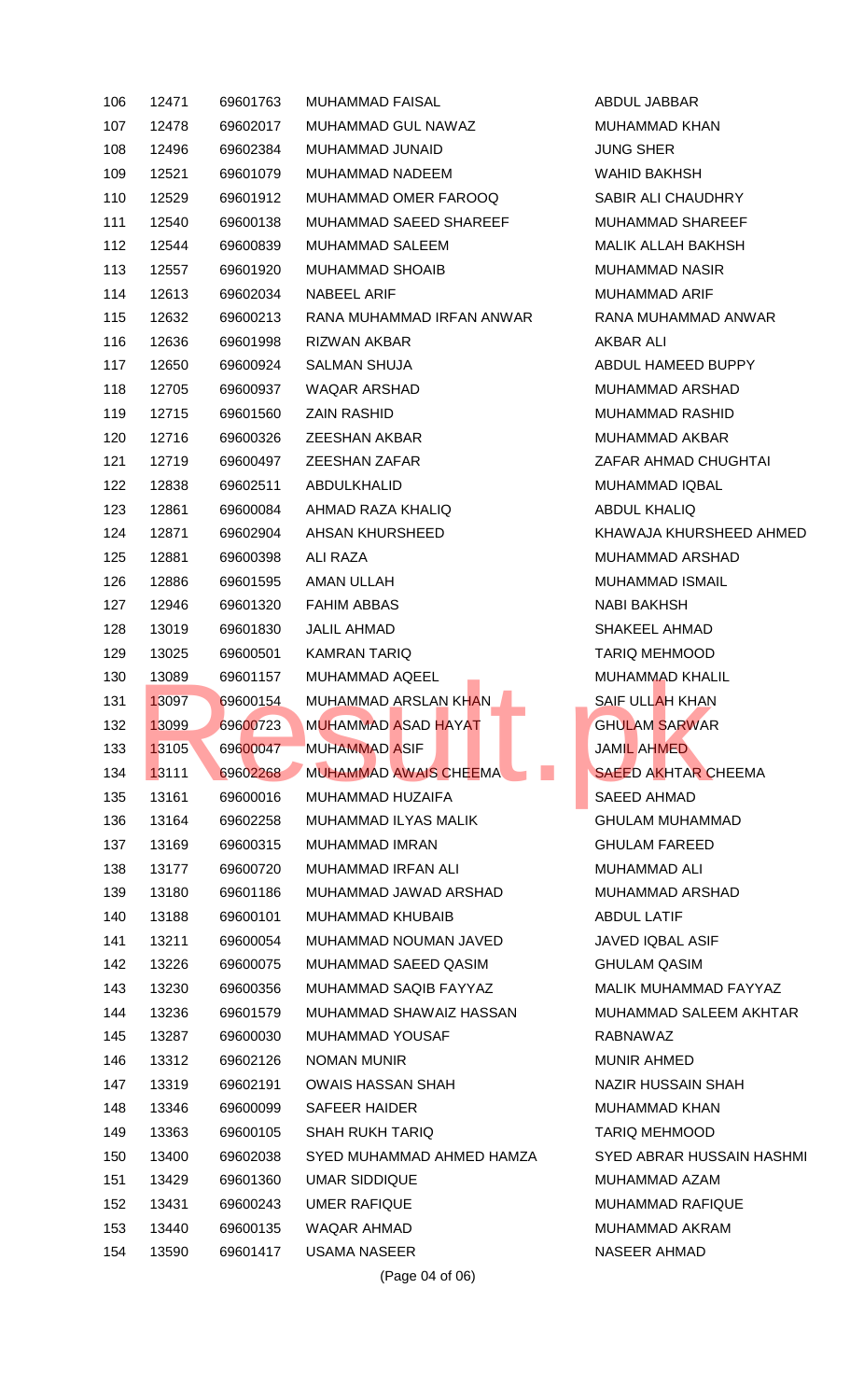| 106 | 12471 | 69601763 | <b>MUHAMMAD FAISAL</b>       | ABDUL JABBAR            |
|-----|-------|----------|------------------------------|-------------------------|
| 107 | 12478 | 69602017 | MUHAMMAD GUL NAWAZ           | <b>MUHAMMAD KHAI</b>    |
| 108 | 12496 | 69602384 | MUHAMMAD JUNAID              | <b>JUNG SHER</b>        |
| 109 | 12521 | 69601079 | <b>MUHAMMAD NADEEM</b>       | <b>WAHID BAKHSH</b>     |
| 110 | 12529 | 69601912 | MUHAMMAD OMER FAROOQ         | <b>SABIR ALI CHAUD</b>  |
| 111 | 12540 | 69600138 | MUHAMMAD SAEED SHAREEF       | <b>MUHAMMAD SHAI</b>    |
| 112 | 12544 | 69600839 | MUHAMMAD SALEEM              | <b>MALIK ALLAH BAK</b>  |
| 113 | 12557 | 69601920 | <b>MUHAMMAD SHOAIB</b>       | <b>MUHAMMAD NASI</b>    |
| 114 | 12613 | 69602034 | NABEEL ARIF                  | <b>MUHAMMAD ARIF</b>    |
| 115 | 12632 | 69600213 | RANA MUHAMMAD IRFAN ANWAR    | RANA MUHAMMAI           |
| 116 | 12636 | 69601998 | RIZWAN AKBAR                 | <b>AKBAR ALI</b>        |
| 117 | 12650 | 69600924 | <b>SALMAN SHUJA</b>          | ABDUL HAMEED E          |
| 118 | 12705 | 69600937 | <b>WAQAR ARSHAD</b>          | <b>MUHAMMAD ARSI</b>    |
| 119 | 12715 | 69601560 | <b>ZAIN RASHID</b>           | <b>MUHAMMAD RASI</b>    |
| 120 | 12716 | 69600326 | <b>ZEESHAN AKBAR</b>         | <b>MUHAMMAD AKB</b>     |
| 121 | 12719 | 69600497 | <b>ZEESHAN ZAFAR</b>         | ZAFAR AHMAD CH          |
| 122 | 12838 | 69602511 | <b>ABDULKHALID</b>           | <b>MUHAMMAD IQBA</b>    |
| 123 | 12861 | 69600084 | AHMAD RAZA KHALIQ            | <b>ABDUL KHALIQ</b>     |
| 124 | 12871 | 69602904 | AHSAN KHURSHEED              | <b>KHAWAJA KHURS</b>    |
| 125 | 12881 | 69600398 | ALI RAZA                     | <b>MUHAMMAD ARSI</b>    |
| 126 | 12886 | 69601595 | AMAN ULLAH                   | MUHAMMAD ISMA           |
| 127 | 12946 | 69601320 | <b>FAHIM ABBAS</b>           | <b>NABI BAKHSH</b>      |
| 128 | 13019 | 69601830 | JALIL AHMAD                  | <b>SHAKEEL AHMAD</b>    |
| 129 | 13025 | 69600501 | <b>KAMRAN TARIQ</b>          | <b>TARIQ MEHMOOD</b>    |
| 130 | 13089 | 69601157 | MUHAMMAD AQEEL               | <b>MUHAMMAD KHAI</b>    |
| 131 | 13097 | 69600154 | MUHAMMAD ARSLAN KHAN         | <b>SAIF ULLAH KHAN</b>  |
| 132 | 13099 | 69600723 | <b>MUHAMMAD ASAD HAYAT</b>   | <b>GHULAM SARWAR</b>    |
| 133 | 13105 | 69600047 | <b>MUHAMMAD ASIF</b>         | <b>JAMIL AHMED</b>      |
|     |       |          | <b>MUHAMMAD AWAIS CHEEMA</b> |                         |
| 134 | 13111 | 69602268 |                              | <b>SAEED AKHTAR C</b>   |
| 135 | 13161 | 69600016 | MUHAMMAD HUZAIFA             | <b>SAEED AHMAD</b>      |
| 136 | 13164 | 69602258 | MUHAMMAD ILYAS MALIK         | <b>GHULAM MUHAMI</b>    |
| 137 | 13169 | 69600315 | <b>MUHAMMAD IMRAN</b>        | <b>GHULAM FAREED</b>    |
| 138 | 13177 | 69600720 | MUHAMMAD IRFAN ALI           | <b>MUHAMMAD ALI</b>     |
| 139 | 13180 | 69601186 | MUHAMMAD JAWAD ARSHAD        | <b>MUHAMMAD ARSI</b>    |
| 140 | 13188 | 69600101 | MUHAMMAD KHUBAIB             | <b>ABDUL LATIF</b>      |
| 141 | 13211 | 69600054 | MUHAMMAD NOUMAN JAVED        | <b>JAVED IQBAL ASII</b> |
| 142 | 13226 | 69600075 | MUHAMMAD SAEED QASIM         | <b>GHULAM QASIM</b>     |
| 143 | 13230 | 69600356 | MUHAMMAD SAQIB FAYYAZ        | <b>MALIK MUHAMMA</b>    |
| 144 | 13236 | 69601579 | MUHAMMAD SHAWAIZ HASSAN      | <b>MUHAMMAD SALE</b>    |
| 145 | 13287 | 69600030 | <b>MUHAMMAD YOUSAF</b>       | RABNAWAZ                |
| 146 | 13312 | 69602126 | <b>NOMAN MUNIR</b>           | <b>MUNIR AHMED</b>      |
| 147 | 13319 | 69602191 | <b>OWAIS HASSAN SHAH</b>     | <b>NAZIR HUSSAINS</b>   |
| 148 | 13346 | 69600099 | <b>SAFEER HAIDER</b>         | <b>MUHAMMAD KHAI</b>    |
| 149 | 13363 | 69600105 | <b>SHAH RUKH TARIQ</b>       | <b>TARIQ MEHMOOD</b>    |
| 150 | 13400 | 69602038 | SYED MUHAMMAD AHMED HAMZA    | <b>SYED ABRAR HUS</b>   |
| 151 | 13429 | 69601360 | <b>UMAR SIDDIQUE</b>         | <b>MUHAMMAD AZAM</b>    |
| 152 | 13431 | 69600243 | <b>UMER RAFIQUE</b>          | <b>MUHAMMAD RAFI</b>    |
| 153 | 13440 | 69600135 | WAQAR AHMAD                  | <b>MUHAMMAD AKR</b>     |
| 154 | 13590 | 69601417 | <b>USAMA NASEER</b>          | NASEER AHMAD            |

ABDUL JABBAR MUHAMMAD KHAN **JUNG SHER** WAHID BAKHSH SABIR ALI CHAUDHRY MUHAMMAD SHAREEF MALIK ALLAH BAKHSH MUHAMMAD NASIR MUHAMMAD ARIF RANA MUHAMMAD ANWAR AKBAR ALI ABDUL HAMEED BUPPY MUHAMMAD ARSHAD MUHAMMAD RASHID MUHAMMAD AKBAR ZAFAR AHMAD CHUGHTAI MUHAMMAD IQBAL ABDUL KHALIQ KHAWAJA KHURSHEED AHMED MUHAMMAD ARSHAD MUHAMMAD ISMAIL NABI BAKHSH SHAKEEL AHMAD TARIQ MEHMOOD MUHAMMAD KHALIL SAIF ULLAH KHAN GHULAM SARWAR JAMIL AHMED 134 13111 69602268 MUHAMMAD AWAIS CHEEMA SAEED AKHTAR CHEEMA SAEED AHMAD GHULAM MUHAMMAD **GHULAM FAREED** MUHAMMAD ALI MUHAMMAD ARSHAD ABDUL LATIF JAVED IQBAL ASIF GHULAM QASIM MALIK MUHAMMAD FAYYAZ MUHAMMAD SALEEM AKHTAR RABNAWAZ MUNIR AHMED NAZIR HUSSAIN SHAH MUHAMMAD KHAN TARIQ MEHMOOD SYED ABRAR HUSSAIN HASHMI MUHAMMAD AZAM MUHAMMAD RAFIQUE MUHAMMAD AKRAM NASEER AHMAD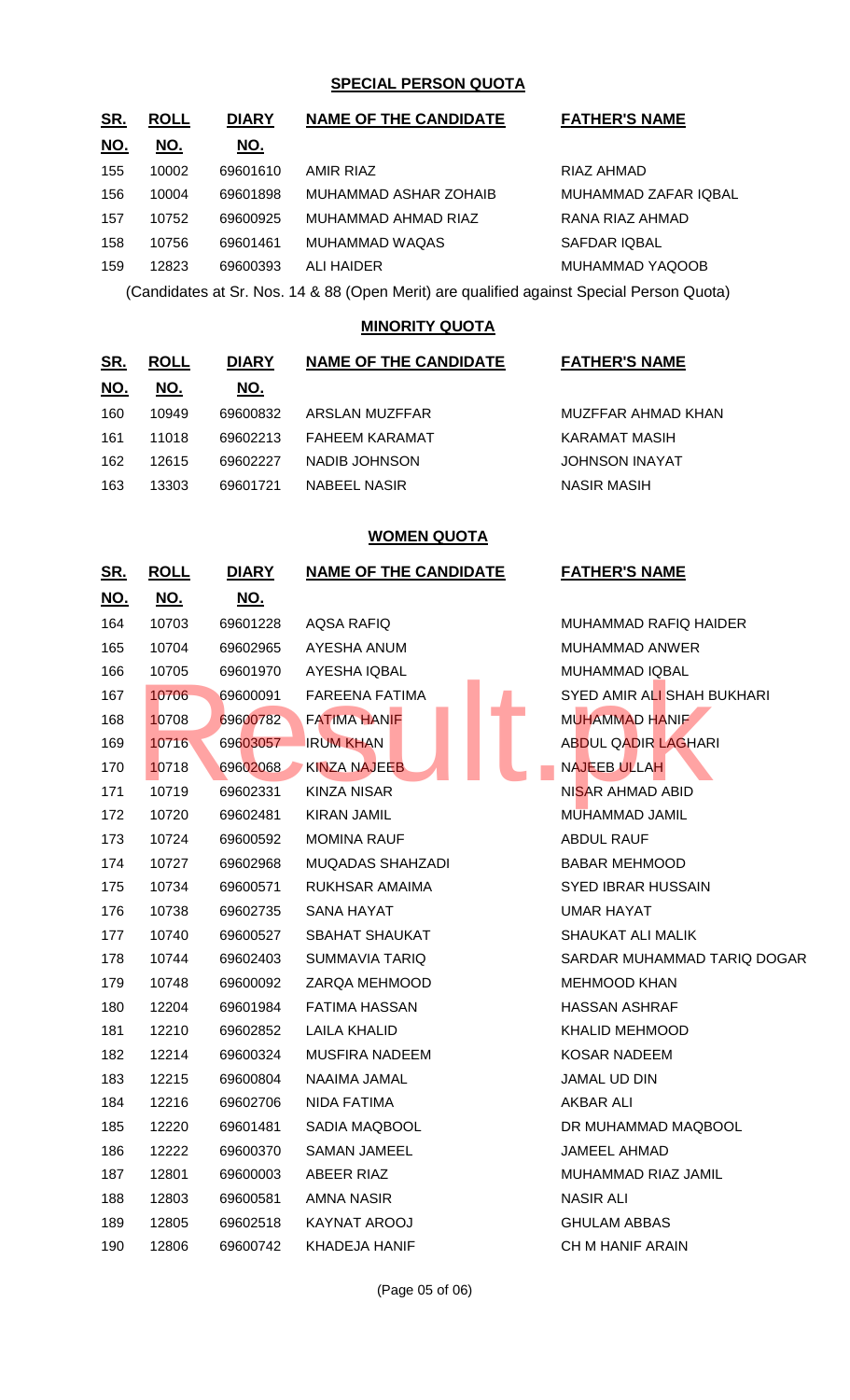### **SPECIAL PERSON QUOTA**

| <u>SR.</u> | <b>ROLL</b> | <b>DIARY</b> | <b>NAME OF THE CANDIDATE</b>                                               | <b>FATHER'S NAME</b> |
|------------|-------------|--------------|----------------------------------------------------------------------------|----------------------|
| <u>NO.</u> | NO.         | NO.          |                                                                            |                      |
| 155        | 10002       | 69601610     | <b>AMIR RIAZ</b>                                                           | RIAZ AHMAD           |
| 156        | 10004       | 69601898     | MUHAMMAD ASHAR ZOHAIB                                                      | MUHAMMAD ZAFAR IQBAL |
| 157        | 10752       | 69600925     | MUHAMMAD AHMAD RIAZ                                                        | RANA RIAZ AHMAD      |
| 158        | 10756       | 69601461     | <b>MUHAMMAD WAQAS</b>                                                      | <b>SAFDAR IQBAL</b>  |
| 159        | 12823       | 69600393     | <b>ALI HAIDER</b>                                                          | MUHAMMAD YAQOOB      |
|            |             |              | $(0, 1)$ $(0, 1)$ $(1, 0, 0)$ $(0, 1)$ $(1, 0)$ $(1, 1)$ $(0, 1)$ $(0, 1)$ |                      |

(Candidates at Sr. Nos. 14 & 88 (Open Merit) are qualified against Special Person Quota)

### **MINORITY QUOTA**

| <u>SR.</u> | <b>ROLL</b> | <b>DIARY</b> | <b>NAME OF THE CANDIDATE</b> | <b>FATHER'S NAME</b>  |
|------------|-------------|--------------|------------------------------|-----------------------|
| <u>NO.</u> | NO.         | NO.          |                              |                       |
| 160        | 10949       | 69600832     | ARSLAN MUZFFAR               | MUZFFAR AHMAD KHAN    |
| 161        | 11018       | 69602213     | <b>FAHEEM KARAMAT</b>        | KARAMAT MASIH         |
| 162        | 12615       | 69602227     | NADIB JOHNSON                | <b>JOHNSON INAYAT</b> |
| 163        | 13303       | 69601721     | <b>NABEEL NASIR</b>          | <b>NASIR MASIH</b>    |

### **WOMEN QUOTA**

| <u>SR.</u> | <u>ROLL</u> | <u>DIARY</u> | <b>NAME OF THE CANDIDATE</b> | <b>FATHER'S NAME</b>        |
|------------|-------------|--------------|------------------------------|-----------------------------|
| <u>NO.</u> | <u>NO.</u>  | <u>NO.</u>   |                              |                             |
| 164        | 10703       | 69601228     | AQSA RAFIQ                   | MUHAMMAD RAFIQ HAIDER       |
| 165        | 10704       | 69602965     | AYESHA ANUM                  | MUHAMMAD ANWER              |
| 166        | 10705       | 69601970     | <b>AYESHA IQBAL</b>          | MUHAMMAD IQBAL              |
| 167        | 10706       | 69600091     | <b>FAREENA FATIMA</b>        | SYED AMIR ALI SHAH BUKHARI  |
| 168        | 10708       | 69600782     | <b>FATIMA HANIF</b>          | MUHAMMAD HANIF              |
| 169        | 10716       | 69603057     | <b>IRUM KHAN</b>             | <b>ABDUL QADIR LAGHARI</b>  |
| 170        | 10718       | 69602068     | <b>KINZA NAJEEB</b>          | <b>NAJEEB ULLAH</b>         |
| 171        | 10719       | 69602331     | KINZA NISAR                  | NISAR AHMAD ABID            |
| 172        | 10720       | 69602481     | KIRAN JAMIL                  | MUHAMMAD JAMIL              |
| 173        | 10724       | 69600592     | <b>MOMINA RAUF</b>           | <b>ABDUL RAUF</b>           |
| 174        | 10727       | 69602968     | MUQADAS SHAHZADI             | <b>BABAR MEHMOOD</b>        |
| 175        | 10734       | 69600571     | RUKHSAR AMAIMA               | SYED IBRAR HUSSAIN          |
| 176        | 10738       | 69602735     | SANA HAYAT                   | UMAR HAYAT                  |
| 177        | 10740       | 69600527     | SBAHAT SHAUKAT               | SHAUKAT ALI MALIK           |
| 178        | 10744       | 69602403     | SUMMAVIA TARIQ               | SARDAR MUHAMMAD TARIQ DOGAR |
| 179        | 10748       | 69600092     | ZARQA MEHMOOD                | <b>MEHMOOD KHAN</b>         |
| 180        | 12204       | 69601984     | FATIMA HASSAN                | HASSAN ASHRAF               |
| 181        | 12210       | 69602852     | LAILA KHALID                 | KHALID MEHMOOD              |
| 182        | 12214       | 69600324     | <b>MUSFIRA NADEEM</b>        | KOSAR NADEEM                |
| 183        | 12215       | 69600804     | NAAIMA JAMAL                 | <b>JAMAL UD DIN</b>         |
| 184        | 12216       | 69602706     | NIDA FATIMA                  | AKBAR ALI                   |
| 185        | 12220       | 69601481     | SADIA MAQBOOL                | DR MUHAMMAD MAQBOOL         |
| 186        | 12222       | 69600370     | SAMAN JAMEEL                 | JAMEEL AHMAD                |
| 187        | 12801       | 69600003     | ABEER RIAZ                   | MUHAMMAD RIAZ JAMIL         |
| 188        | 12803       | 69600581     | AMNA NASIR                   | <b>NASIR ALI</b>            |
| 189        | 12805       | 69602518     | KAYNAT AROOJ                 | <b>GHULAM ABBAS</b>         |
| 190        | 12806       | 69600742     | KHADEJA HANIF                | CH M HANIF ARAIN            |